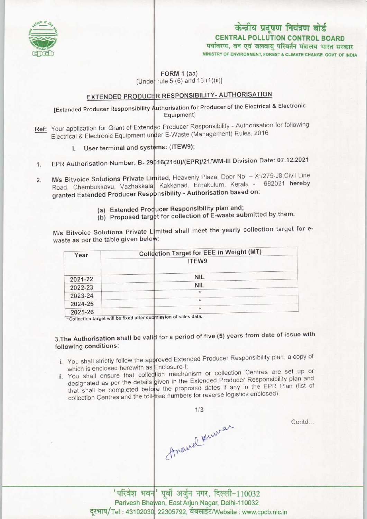

# केन्द्रीय प्रदूषण नियंत्रण बोर्ड CENTRAL POLLUTION CONTROL BOARD<br>पर्यावरण, वन एवं जलवायु परिवर्तन मंत्रालय भारत सरकार

MINISTRY OF ENVIRONMENT, FOREST & CLIMATE CHANGE GOVT. OF INDIA

### FORM 1 (aa) [Under rule 5 (6) and 13 (1)(ii)]

### EXTENDED PRODUCER RESPONSIBILITY- AUTHORISATION

#### [Extended Producer Responsibility Authorisation for Producer of the Electrical & Electronic Equipment]

- Ref: Your application for Grant of Extended Producer Responsibility Authorisation for following Four application for Stand of External Lines<br>Electrical & Electronic Equipment under E-Waste (Management) Rules, 2016
	- I. User terminal and systems: (ITEW9);
- 1. EPR Authorisation Number: B- 29016(2160)/(EPR)/21/WM-III Division Date: 07.12.2021
- 2. M/s Bitvoice Solutions Private Limited, Heavenly Plaza, Door No. XI/275-J8,Civil Line M/s Bitvoice Solutions Private Limited, Heaveniy Fiaza, Boor No. 1982.<br>Road, Chembukkavu, Vazhakkala, Kakkanad, Ernakulum, Kerala - 682021 hereby Road, Chembukkava, Vazhamala II. British eta British based on:<br>granted Extended Producer Responsibility - Authorisation based on:
	- (a) Extended Producer Responsibility plan and;
	- (a) Extended Producer Responsibility plan and,<br>(b) Proposed target for collection of E-waste submitted by them.

M/s Bitvoice Solutions Private L mited shall meet the yearly collection target for ewaste as per the table given below:

| Year    | Collection Target for EEE in Weight (MT)                                                   |
|---------|--------------------------------------------------------------------------------------------|
|         | ITEW9                                                                                      |
| 2021-22 | <b>NIL</b>                                                                                 |
| 2022-23 | <b>NIL</b>                                                                                 |
| 2023-24 | $\star$                                                                                    |
| 2024-25 | $\star$                                                                                    |
| 2025-26 | $\star$<br>all a store of without dots.<br>the contract of the contract of the contract of |

'Collection target will be fixed after submission of sales data.

### 3.The Authorisation shall be valid for a period of five (5) years from date of issue with following conditions:

- i. You shall strictly follow the approved Extended Producer Responsibility plan, a copy of which is enclosed herewith as Enclosure-I
- which is enclosed herewith as Enclosure-I;<br>ii. You shall ensure that collection mechanism or collection Centres are set up or You shall ensure that collection mechanism of collection constitution and<br>designated as per the details given in the Extended Producer Responsibility plan and designated as per the details given in the Extended Houder Responsibility pro-<br>that shall be completed before the proposed dates if any in the EPR Plan (list of that shall be completed before the proposed dates is any increased);<br>collection Centres and the toll-free numbers for reverse logistics enclosed);

1/3

Anowel Lumer

Contd...

'परिवेश भवन' पूर्वी अर्जुन नगर, दिल्ली-110032 Parivesh Bhawan, East Arjun Nagar, Delhi-110032 दूरभाष/Tel: 43102030, 22305792, वेबसाईट/Website: www.cpcb.nic.in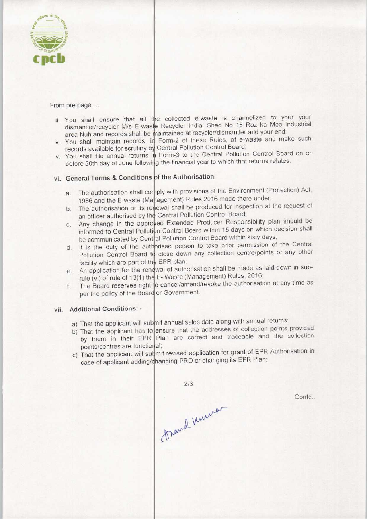

From pre page....

- iii. You shall ensure that all the collected e-waste is channelized to your your You shall ensure that all the collected civiliated No 15 Roz ka Meo Industrial<br>dismantler/recycler M/s E-waste Recycler India, Shed No 15 Roz ka Meo Industrial area Nuh and records shall be maintained at recycler/dismantler and your end
- area Nun and records shall be maintained at recycle maintainer and year end.<br>iv. You shall maintain records, in Form-2 of these Rules, of e-waste and make such records available for scrutiny by Central Pollution Control Board;
- records available for scruting by Central Pollution Control Control Board on or<br>v. You shall file annual returns in Form-3 to the Central Pollution Control Board on or Four shall the annual returns in Form one and year to which that returns relates.

## vi. General Terms & Conditions of the Authorisation:

- a. The authorisation shall comply with provisions of the Environment (Protection) Act, 1986 and the E-waste (Management) Rules, 2016 made there under
- 1986 and the E-waste (Management) Rules, 2016 made there under;<br>b. The authorisation or its renewal shall be produced for inspection at the request of an officer authorised by the Central Pollution Control Board
- **Producer Communist Department Communist Communist Communist Communist Communist Communist Communist Communist Communist Communist Communist Communist Communist Communist Communist Communist Communist Communist Communist C** informed to Central Pollution Control Board within 15 days on which decision shall be communicated by Central Pollution Control Board within sixty days an officer authorised by the app<br>c. Any change in the app
- be communicated by Central Pollution Control Board within sixty days;<br>
d. It is the duty of the authorised person to take prior permission of the Central<br>
Depthition Central Board to close down any collection centre/points Pollution Control Board to close down any collection centre/points or any other facility which are part of the EPR plan;
- facility which are part of the EPR plan;<br>e. An application for the renewal of authorisation shall be made as laid down in sub-<br> $\frac{1}{2}$  Meste (Managament) Bules, 2016; rule (vi) of rule of 13(1) the E-Waste (Management) Rules, 2016
- rule (vi) of rule of 13(1) the E-Waste (Management) Rules, 2016;<br>f. The Board reserves right to cancel/amend/revoke the authorisation at any time as per the policy of the Board or Government

#### vii. Additional Conditions: -

- a) That the applicant will submit annual sales data along with annual returns;
- a) That the applicant will sub-lift allited sales data dieng two collection points provided<br>b) That the applicant has to ensure that the addresses of collection points provided That the applicant has to ensure that the addresses of collection points provided<br>by them in their EPR Plan are correct and traceable and the collection points/centres are functional;
- points/centres are ranchoral, that the applicant time stating is concerned to changing its EPR Plan;

 $2/3$ Trand Kurner

Contd..